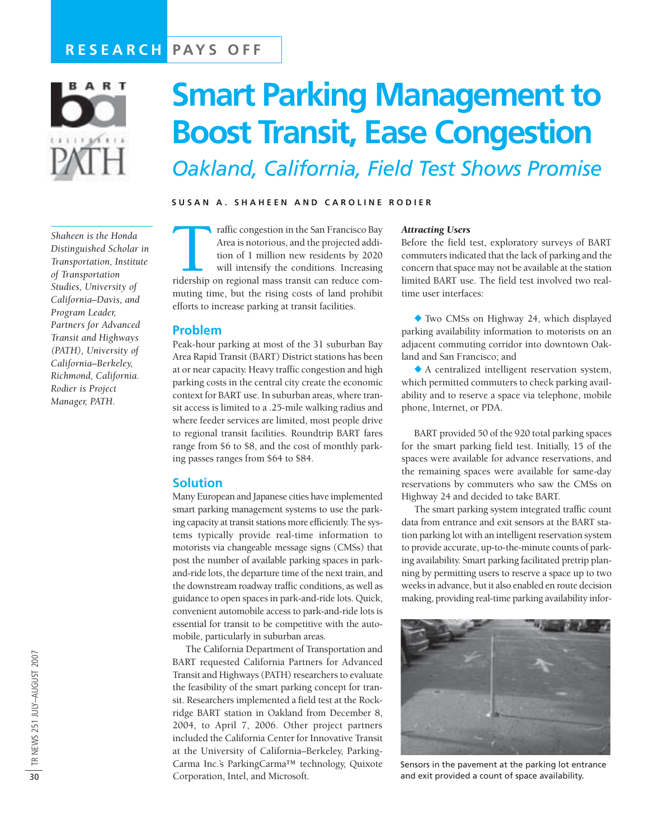## **RESEARCH PAYS OFF**



*Shaheen is the Honda Distinguished Scholar in Transportation, Institute of Transportation Studies, University of California–Davis, and Program Leader, Partners for Advanced Transit and Highways (PATH), University of California–Berkeley, Richmond, California. Rodier is Project Manager, PATH.*

# **Smart Parking Management to Boost Transit, Ease Congestion** *Oakland, California, Field Test Shows Promise*

#### **SUSAN A. SHAHEEN AND CAROLINE RODIER**

raffic congestion in the San Francisco Bay<br>Area is notorious, and the projected addi-<br>tion of 1 million new residents by 2020<br>will intensify the conditions. Increasing<br>ridership on regional mass transit can reduce com-Area is notorious, and the projected addition of 1 million new residents by 2020 will intensify the conditions. Increasing muting time, but the rising costs of land prohibit efforts to increase parking at transit facilities.

#### **Problem**

Peak-hour parking at most of the 31 suburban Bay Area Rapid Transit (BART) District stations has been at or near capacity. Heavy traffic congestion and high parking costs in the central city create the economic context for BART use. In suburban areas, where transit access is limited to a .25-mile walking radius and where feeder services are limited, most people drive to regional transit facilities. Roundtrip BART fares range from \$6 to \$8, and the cost of monthly parking passes ranges from \$64 to \$84.

#### **Solution**

Many European and Japanese cities have implemented smart parking management systems to use the parking capacity at transit stations more efficiently. The systems typically provide real-time information to motorists via changeable message signs (CMSs) that post the number of available parking spaces in parkand-ride lots, the departure time of the next train, and the downstream roadway traffic conditions, as well as guidance to open spaces in park-and-ride lots. Quick, convenient automobile access to park-and-ride lots is essential for transit to be competitive with the automobile, particularly in suburban areas.

The California Department of Transportation and BART requested California Partners for Advanced Transit and Highways (PATH) researchers to evaluate the feasibility of the smart parking concept for transit. Researchers implemented a field test at the Rockridge BART station in Oakland from December 8, 2004, to April 7, 2006. Other project partners included the California Center for Innovative Transit at the University of California–Berkeley, Parking-Carma Inc.'s ParkingCarma™ technology, Quixote Corporation, Intel, and Microsoft.

#### *Attracting Users*

Before the field test, exploratory surveys of BART commuters indicated that the lack of parking and the concern that space may not be available at the station limited BART use. The field test involved two realtime user interfaces:

! Two CMSs on Highway 24, which displayed parking availability information to motorists on an adjacent commuting corridor into downtown Oakland and San Francisco; and

 $\triangle$  A centralized intelligent reservation system, which permitted commuters to check parking availability and to reserve a space via telephone, mobile phone, Internet, or PDA.

BART provided 50 of the 920 total parking spaces for the smart parking field test. Initially, 15 of the spaces were available for advance reservations, and the remaining spaces were available for same-day reservations by commuters who saw the CMSs on Highway 24 and decided to take BART.

The smart parking system integrated traffic count data from entrance and exit sensors at the BART station parking lot with an intelligent reservation system to provide accurate, up-to-the-minute counts of parking availability. Smart parking facilitated pretrip planning by permitting users to reserve a space up to two weeks in advance, but it also enabled en route decision making, providing real-time parking availability infor-



Sensors in the pavement at the parking lot entrance and exit provided a count of space availability.